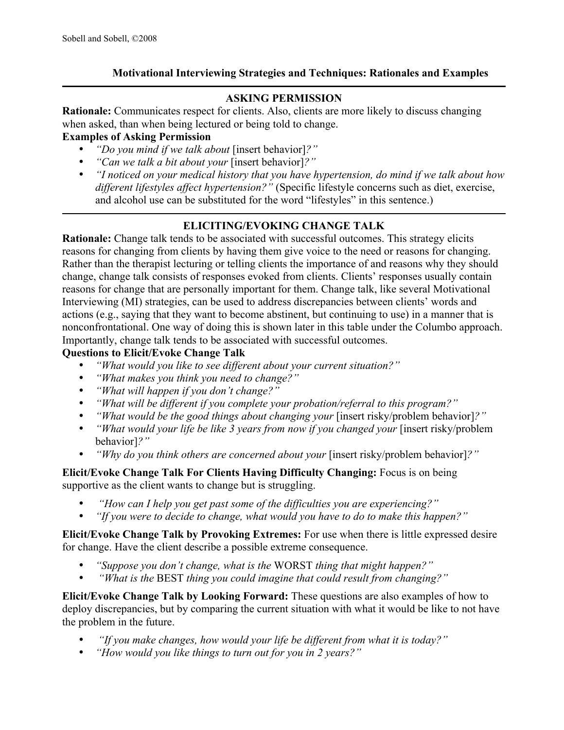## **Motivational Interviewing Strategies and Techniques: Rationales and Examples**

## **ASKING PERMISSION**

**Rationale:** Communicates respect for clients. Also, clients are more likely to discuss changing when asked, than when being lectured or being told to change.

#### **Examples of Asking Permission**

- *"Do you mind if we talk about* [insert behavior]?"<br>• *"Can we talk a bit about your* [insert behavior]?"
- *"Can we talk a bit about your* [insert behavior]*?"*
- *"I noticed on your medical history that you have hypertension, do mind if we talk about how different lifestyles affect hypertension?"* (Specific lifestyle concerns such as diet, exercise, and alcohol use can be substituted for the word "lifestyles" in this sentence.)

# **ELICITING/EVOKING CHANGE TALK**

**Rationale:** Change talk tends to be associated with successful outcomes. This strategy elicits reasons for changing from clients by having them give voice to the need or reasons for changing. Rather than the therapist lecturing or telling clients the importance of and reasons why they should change, change talk consists of responses evoked from clients. Clients' responses usually contain reasons for change that are personally important for them. Change talk, like several Motivational Interviewing (MI) strategies, can be used to address discrepancies between clients' words and actions (e.g., saying that they want to become abstinent, but continuing to use) in a manner that is nonconfrontational. One way of doing this is shown later in this table under the Columbo approach. Importantly, change talk tends to be associated with successful outcomes.

#### **Questions to Elicit/Evoke Change Talk**

- *"What would you like to see different about your current situation?"*
- *"What makes you think you need to change?"*
- *"What will happen if you don't change?"*
- *"What will be different if you complete your probation/referral to this program?"*
- *"What would be the good things about changing your* [insert risky/problem behavior]?"
- *"What would your life be like 3 years from now if you changed your* [insert risky/problem] behavior]*?"*
- *"Why do you think others are concerned about your* [insert risky/problem behavior]?"

**Elicit/Evoke Change Talk For Clients Having Difficulty Changing:** Focus is on being supportive as the client wants to change but is struggling.

- *"How can I help you get past some of the difficulties you are experiencing?"*
- *"If you were to decide to change, what would you have to do to make this happen?"*

**Elicit/Evoke Change Talk by Provoking Extremes:** For use when there is little expressed desire for change. Have the client describe a possible extreme consequence.

- *"Suppose you don't change, what is the* WORST *thing that might happen?"*
- *"What is the* BEST *thing you could imagine that could result from changing?"*

**Elicit/Evoke Change Talk by Looking Forward:** These questions are also examples of how to deploy discrepancies, but by comparing the current situation with what it would be like to not have the problem in the future.

- • *"If you make changes, how would your life be different from what it is today?"*
- *"How would you like things to turn out for you in 2 years?"*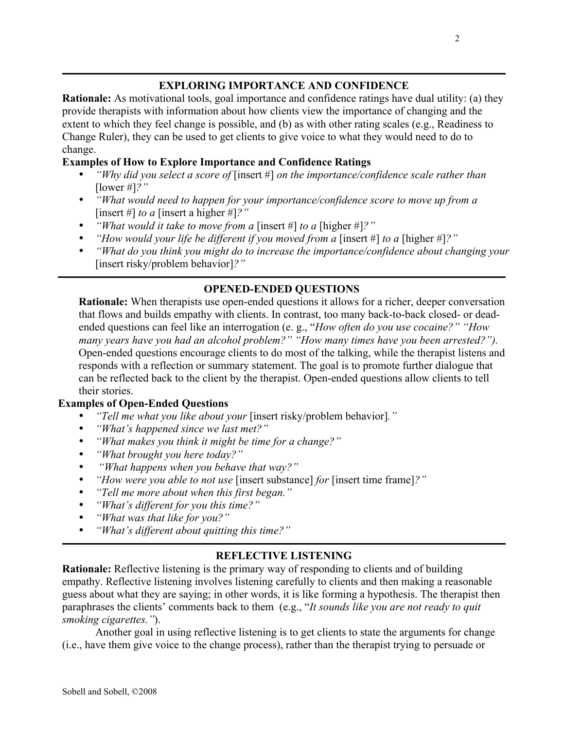## **EXPLORING IMPORTANCE AND CONFIDENCE**

**Rationale:** As motivational tools, goal importance and confidence ratings have dual utility: (a) they provide therapists with information about how clients view the importance of changing and the extent to which they feel change is possible, and (b) as with other rating scales (e.g., Readiness to Change Ruler), they can be used to get clients to give voice to what they would need to do to change.

## **Examples of How to Explore Importance and Confidence Ratings**

- *"Why did you select a score of* [insert #] *on the importance/confidence scale rather than*  [lower #]*?"*
- *"What would need to happen for your importance/confidence score to move up from a*  [insert #] *to a* [insert a higher #]*?"*
- *"What would it take to move from a* [insert #] *to a* [higher #]*?"*
- *"How would your life be different if you moved from a* [insert #] *to a* [higher #]*?"*
- *"What do you think you might do to increase the importance/confidence about changing your*  [insert risky/problem behavior]*?"*

# **OPENED-ENDED QUESTIONS**

**Rationale:** When therapists use open-ended questions it allows for a richer, deeper conversation that flows and builds empathy with clients. In contrast, too many back-to-back closed- or deadended questions can feel like an interrogation (e. g., "*How often do you use cocaine?" "How many years have you had an alcohol problem?" "How many times have you been arrested?").*  Open-ended questions encourage clients to do most of the talking, while the therapist listens and responds with a reflection or summary statement. The goal is to promote further dialogue that can be reflected back to the client by the therapist. Open-ended questions allow clients to tell their stories.

#### **Examples of Open-Ended Questions**

- *"Tell me what you like about your* [insert risky/problem behavior]*."*
- *"What's happened since we last met?"*
- *"What makes you think it might be time for a change?"*
- *"What brought you here today?"*
- *"What happens when you behave that way?"*
- *"How were you able to not use* [insert substance] *for* [insert time frame]*?"*
- *"Tell me more about when this first began."*
- *"What's different for you this time?"*
- *"What was that like for you?"*
- *"What's different about quitting this time?"*

#### **REFLECTIVE LISTENING**

**Rationale:** Reflective listening is the primary way of responding to clients and of building empathy. Reflective listening involves listening carefully to clients and then making a reasonable guess about what they are saying; in other words, it is like forming a hypothesis. The therapist then paraphrases the clients' comments back to them (e.g., "*It sounds like you are not ready to quit smoking cigarettes."*).

Another goal in using reflective listening is to get clients to state the arguments for change (i.e., have them give voice to the change process), rather than the therapist trying to persuade or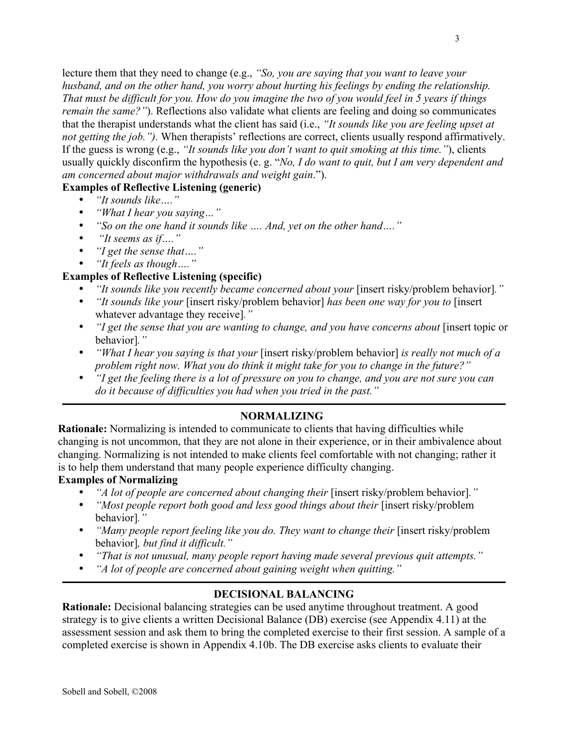lecture them that they need to change (e.g., *"So, you are saying that you want to leave your husband, and on the other hand, you worry about hurting his feelings by ending the relationship. That must be difficult for you. How do you imagine the two of you would feel in 5 years if things remain the same?"*). Reflections also validate what clients are feeling and doing so communicates that the therapist understands what the client has said (i.e., *"It sounds like you are feeling upset at not getting the job.").* When therapists' reflections are correct, clients usually respond affirmatively. If the guess is wrong (e.g., *"It sounds like you don't want to quit smoking at this time."*), clients usually quickly disconfirm the hypothesis (e. g. "*No, I do want to quit, but I am very dependent and am concerned about major withdrawals and weight gain*.").

#### **Examples of Reflective Listening (generic)**

- *"It sounds like…."*
- *"What I hear you saying…"*
- *"So on the one hand it sounds like …. And, yet on the other hand…."*
- *"It seems as if…."*
- *"I get the sense that…."*
- *"It feels as though…."*

#### **Examples of Reflective Listening (specific)**

- *"It sounds like you recently became concerned about your* [insert risky/problem behavior]*."*
- *"It sounds like your* [insert risky/problem behavior] *has been one way for you to* [insert whatever advantage they receive]*."*
- *"I get the sense that you are wanting to change, and you have concerns about* [insert topic or behavior]*."*
- *"What I hear you saying is that your* [insert risky/problem behavior] *is really not much of a problem right now. What you do think it might take for you to change in the future?"*
- *"I get the feeling there is a lot of pressure on you to change, and you are not sure you can do it because of difficulties you had when you tried in the past."*

## **NORMALIZING**

**Rationale:** Normalizing is intended to communicate to clients that having difficulties while changing is not uncommon, that they are not alone in their experience, or in their ambivalence about changing. Normalizing is not intended to make clients feel comfortable with not changing; rather it is to help them understand that many people experience difficulty changing.

#### **Examples of Normalizing**

- *"A lot of people are concerned about changing their* [insert risky/problem behavior]*."*
- *"Most people report both good and less good things about their* [insert risky/problem behavior]*."*
- *"Many people report feeling like you do. They want to change their* [insert risky/problem] behavior]*, but find it difficult."*
- *"That is not unusual, many people report having made several previous quit attempts."*
- *"A lot of people are concerned about gaining weight when quitting."*

#### **DECISIONAL BALANCING**

**Rationale:** Decisional balancing strategies can be used anytime throughout treatment. A good strategy is to give clients a written Decisional Balance (DB) exercise (see Appendix 4.11) at the assessment session and ask them to bring the completed exercise to their first session. A sample of a completed exercise is shown in Appendix 4.10b. The DB exercise asks clients to evaluate their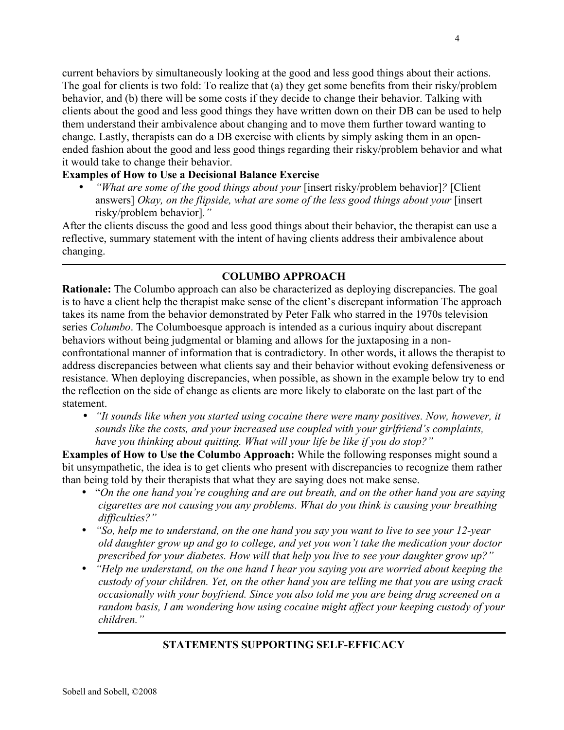current behaviors by simultaneously looking at the good and less good things about their actions. The goal for clients is two fold: To realize that (a) they get some benefits from their risky/problem behavior, and (b) there will be some costs if they decide to change their behavior. Talking with clients about the good and less good things they have written down on their DB can be used to help them understand their ambivalence about changing and to move them further toward wanting to change. Lastly, therapists can do a DB exercise with clients by simply asking them in an openended fashion about the good and less good things regarding their risky/problem behavior and what it would take to change their behavior.

#### **Examples of How to Use a Decisional Balance Exercise**

• *"What are some of the good things about your* [insert risky/problem behavior]*?* [Client answers] *Okay, on the flipside, what are some of the less good things about your* [insert risky/problem behavior]*."*

After the clients discuss the good and less good things about their behavior, the therapist can use a reflective, summary statement with the intent of having clients address their ambivalence about changing.

## **COLUMBO APPROACH**

**Rationale:** The Columbo approach can also be characterized as deploying discrepancies. The goal is to have a client help the therapist make sense of the client's discrepant information The approach takes its name from the behavior demonstrated by Peter Falk who starred in the 1970s television series *Columbo*. The Columboesque approach is intended as a curious inquiry about discrepant behaviors without being judgmental or blaming and allows for the juxtaposing in a nonconfrontational manner of information that is contradictory. In other words, it allows the therapist to address discrepancies between what clients say and their behavior without evoking defensiveness or resistance. When deploying discrepancies, when possible, as shown in the example below try to end the reflection on the side of change as clients are more likely to elaborate on the last part of the statement.

• *"It sounds like when you started using cocaine there were many positives. Now, however, it sounds like the costs, and your increased use coupled with your girlfriend's complaints, have you thinking about quitting. What will your life be like if you do stop?"*

**Examples of How to Use the Columbo Approach:** While the following responses might sound a bit unsympathetic, the idea is to get clients who present with discrepancies to recognize them rather than being told by their therapists that what they are saying does not make sense.

- "*On the one hand you're coughing and are out breath, and on the other hand you are saying cigarettes are not causing you any problems. What do you think is causing your breathing difficulties?"*
- *"So, help me to understand, on the one hand you say you want to live to see your 12-year old daughter grow up and go to college, and yet you won't take the medication your doctor prescribed for your diabetes. How will that help you live to see your daughter grow up?"*
- *"Help me understand, on the one hand I hear you saying you are worried about keeping the custody of your children. Yet, on the other hand you are telling me that you are using crack occasionally with your boyfriend. Since you also told me you are being drug screened on a random basis, I am wondering how using cocaine might affect your keeping custody of your children."*

#### **STATEMENTS SUPPORTING SELF-EFFICACY**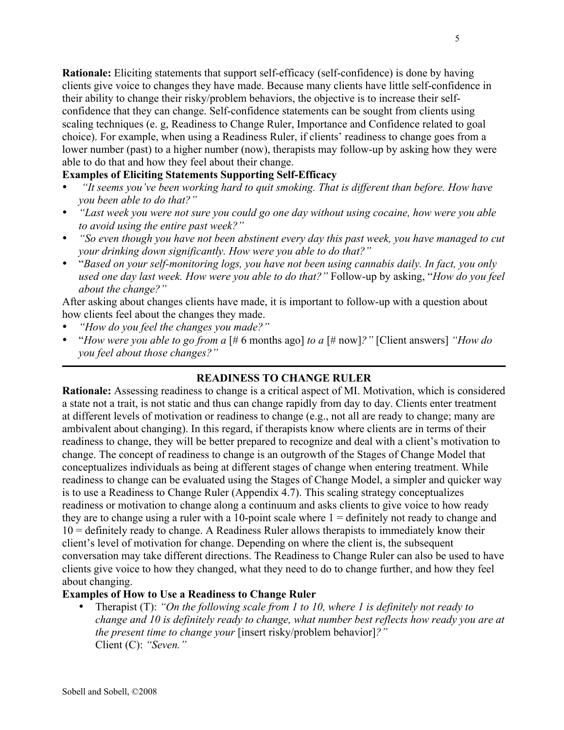5

**Rationale:** Eliciting statements that support self-efficacy (self-confidence) is done by having clients give voice to changes they have made. Because many clients have little self-confidence in their ability to change their risky/problem behaviors, the objective is to increase their selfconfidence that they can change. Self-confidence statements can be sought from clients using scaling techniques (e. g, Readiness to Change Ruler, Importance and Confidence related to goal choice). For example, when using a Readiness Ruler, if clients' readiness to change goes from a lower number (past) to a higher number (now), therapists may follow-up by asking how they were able to do that and how they feel about their change.

## **Examples of Eliciting Statements Supporting Self-Efficacy**

- *"It seems you've been working hard to quit smoking. That is different than before. How have you been able to do that?"*
- *"Last week you were not sure you could go one day without using cocaine, how were you able to avoid using the entire past week?"*
- *"So even though you have not been abstinent every day this past week, you have managed to cut your drinking down significantly. How were you able to do that?"*
- "*Based on your self-monitoring logs, you have not been using cannabis daily. In fact, you only used one day last week. How were you able to do that?"* Follow-up by asking, "*How do you feel about the change?"*

After asking about changes clients have made, it is important to follow-up with a question about how clients feel about the changes they made.

- *"How do you feel the changes you made?"*
- "*How were you able to go from a* [# 6 months ago] *to a* [# now]*?"* [Client answers] *"How do you feel about those changes?"*

## **READINESS TO CHANGE RULER**

**Rationale:** Assessing readiness to change is a critical aspect of MI. Motivation, which is considered a state not a trait, is not static and thus can change rapidly from day to day. Clients enter treatment at different levels of motivation or readiness to change (e.g., not all are ready to change; many are ambivalent about changing). In this regard, if therapists know where clients are in terms of their readiness to change, they will be better prepared to recognize and deal with a client's motivation to change. The concept of readiness to change is an outgrowth of the Stages of Change Model that conceptualizes individuals as being at different stages of change when entering treatment. While readiness to change can be evaluated using the Stages of Change Model, a simpler and quicker way is to use a Readiness to Change Ruler (Appendix 4.7). This scaling strategy conceptualizes readiness or motivation to change along a continuum and asks clients to give voice to how ready they are to change using a ruler with a 10-point scale where  $1 =$  definitely not ready to change and 10 = definitely ready to change. A Readiness Ruler allows therapists to immediately know their client's level of motivation for change. Depending on where the client is, the subsequent conversation may take different directions. The Readiness to Change Ruler can also be used to have clients give voice to how they changed, what they need to do to change further, and how they feel about changing.

#### **Examples of How to Use a Readiness to Change Ruler**

• Therapist (T): *"On the following scale from 1 to 10, where 1 is definitely not ready to change and 10 is definitely ready to change, what number best reflects how ready you are at the present time to change your* [insert risky/problem behavior]*?"* Client (C): *"Seven."*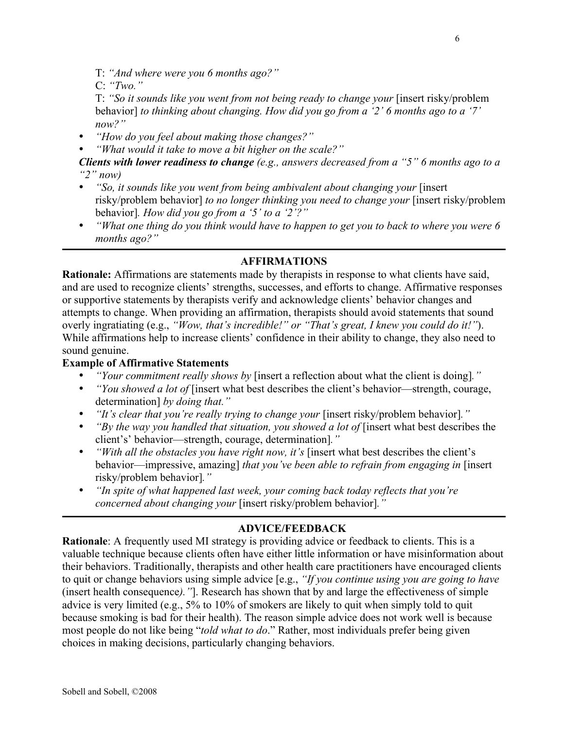C: *"Two."*

T: *"So it sounds like you went from not being ready to change your* [insert risky/problem behavior] *to thinking about changing. How did you go from a '2' 6 months ago to a '7' now?"*

• *"How do you feel about making those changes?"*

• *"What would it take to move a bit higher on the scale?"*

*Clients with lower readiness to change (e.g., answers decreased from a "5" 6 months ago to a "2" now)*

- *"So, it sounds like you went from being ambivalent about changing your* [insert] risky/problem behavior] *to no longer thinking you need to change your* [insert risky/problem behavior]*. How did you go from a '5' to a '2'?"*
- *"What one thing do you think would have to happen to get you to back to where you were 6 months ago?"*

## **AFFIRMATIONS**

**Rationale:** Affirmations are statements made by therapists in response to what clients have said, and are used to recognize clients' strengths, successes, and efforts to change. Affirmative responses or supportive statements by therapists verify and acknowledge clients' behavior changes and attempts to change. When providing an affirmation, therapists should avoid statements that sound overly ingratiating (e.g., *"Wow, that's incredible!" or "That's great, I knew you could do it!"*). While affirmations help to increase clients' confidence in their ability to change, they also need to sound genuine.

#### **Example of Affirmative Statements**

- *"Your commitment really shows by* [insert a reflection about what the client is doing]*."*
- *"You showed a lot of* [insert what best describes the client's behavior—strength, courage, determination] *by doing that."*
- *<i>"It's clear that you're really trying to change your* [insert risky/problem behavior]."
- *"By the way you handled that situation, you showed a lot of* [insert what best describes the client's' behavior—strength, courage, determination]*."*
- *"With all the obstacles you have right now, it's* [insert what best describes the client's behavior—impressive, amazing] *that you've been able to refrain from engaging in* [insert risky/problem behavior]*."*
- *"In spite of what happened last week, your coming back today reflects that you're concerned about changing your* [insert risky/problem behavior]*."*

## **ADVICE/FEEDBACK**

**Rationale**: A frequently used MI strategy is providing advice or feedback to clients. This is a valuable technique because clients often have either little information or have misinformation about their behaviors. Traditionally, therapists and other health care practitioners have encouraged clients to quit or change behaviors using simple advice [e.g., *"If you continue using you are going to have* (insert health consequence*)."*]. Research has shown that by and large the effectiveness of simple advice is very limited (e.g., 5% to 10% of smokers are likely to quit when simply told to quit because smoking is bad for their health). The reason simple advice does not work well is because most people do not like being "*told what to do*." Rather, most individuals prefer being given choices in making decisions, particularly changing behaviors.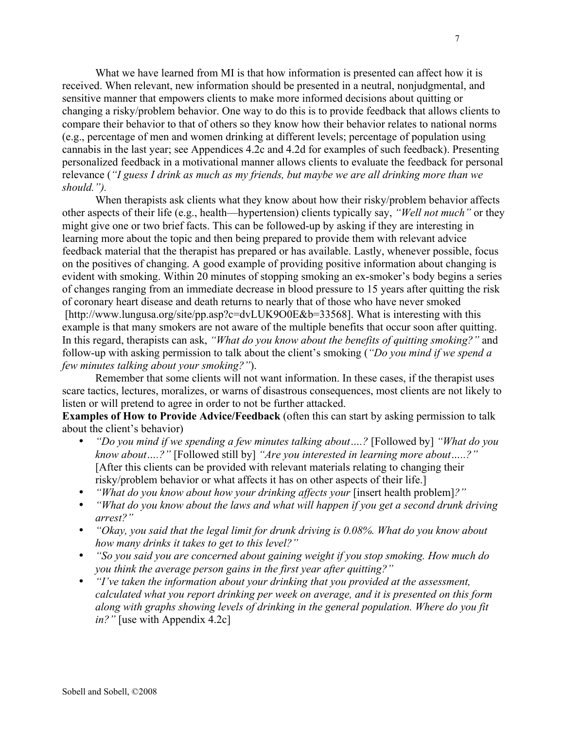What we have learned from MI is that how information is presented can affect how it is received. When relevant, new information should be presented in a neutral, nonjudgmental, and sensitive manner that empowers clients to make more informed decisions about quitting or changing a risky/problem behavior. One way to do this is to provide feedback that allows clients to compare their behavior to that of others so they know how their behavior relates to national norms (e.g., percentage of men and women drinking at different levels; percentage of population using cannabis in the last year; see Appendices 4.2c and 4.2d for examples of such feedback). Presenting personalized feedback in a motivational manner allows clients to evaluate the feedback for personal relevance (*"I guess I drink as much as my friends, but maybe we are all drinking more than we should.").*

When therapists ask clients what they know about how their risky/problem behavior affects other aspects of their life (e.g., health—hypertension) clients typically say, *"Well not much"* or they might give one or two brief facts. This can be followed-up by asking if they are interesting in learning more about the topic and then being prepared to provide them with relevant advice feedback material that the therapist has prepared or has available. Lastly, whenever possible, focus on the positives of changing. A good example of providing positive information about changing is evident with smoking. Within 20 minutes of stopping smoking an ex-smoker's body begins a series of changes ranging from an immediate decrease in blood pressure to 15 years after quitting the risk of coronary heart disease and death returns to nearly that of those who have never smoked [http://www.lungusa.org/site/pp.asp?c=dvLUK9O0E&b=33568]. What is interesting with this example is that many smokers are not aware of the multiple benefits that occur soon after quitting. In this regard, therapists can ask, *"What do you know about the benefits of quitting smoking?"* and follow-up with asking permission to talk about the client's smoking (*"Do you mind if we spend a few minutes talking about your smoking?"*).

Remember that some clients will not want information. In these cases, if the therapist uses scare tactics, lectures, moralizes, or warns of disastrous consequences, most clients are not likely to listen or will pretend to agree in order to not be further attacked.

**Examples of How to Provide Advice/Feedback** (often this can start by asking permission to talk about the client's behavior)

- *"Do you mind if we spending a few minutes talking about....?* [Followed by] *"What do you know about….?"* [Followed still by] *"Are you interested in learning more about…..?"* [After this clients can be provided with relevant materials relating to changing their risky/problem behavior or what affects it has on other aspects of their life.]
- *"What do you know about how your drinking affects your* [insert health problem]?"
- *"What do you know about the laws and what will happen if you get a second drunk driving arrest?"*
- *"Okay, you said that the legal limit for drunk driving is 0.08%. What do you know about how many drinks it takes to get to this level?"*
- *"So you said you are concerned about gaining weight if you stop smoking. How much do you think the average person gains in the first year after quitting?"*
- *"I've taken the information about your drinking that you provided at the assessment, calculated what you report drinking per week on average, and it is presented on this form along with graphs showing levels of drinking in the general population. Where do you fit in?"* [use with Appendix 4.2c]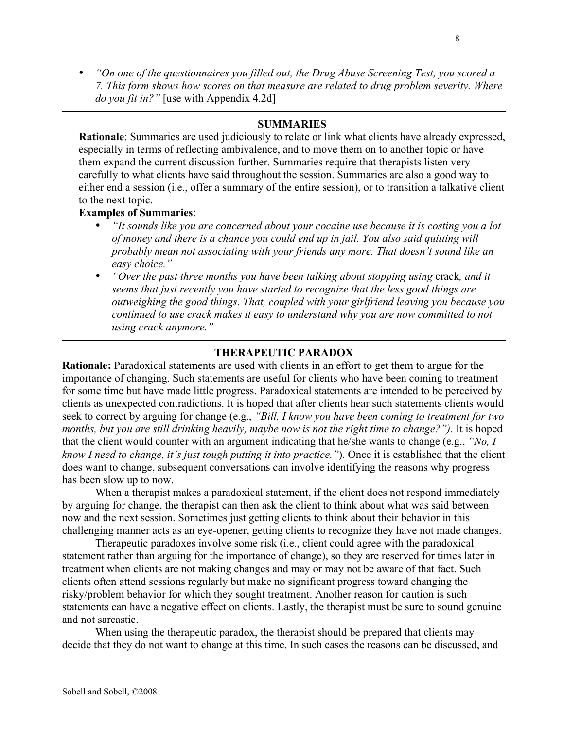• *"On one of the questionnaires you filled out, the Drug Abuse Screening Test, you scored a 7. This form shows how scores on that measure are related to drug problem severity. Where do you fit in?"* [use with Appendix 4.2d]

## **SUMMARIES**

**Rationale**: Summaries are used judiciously to relate or link what clients have already expressed, especially in terms of reflecting ambivalence, and to move them on to another topic or have them expand the current discussion further. Summaries require that therapists listen very carefully to what clients have said throughout the session. Summaries are also a good way to either end a session (i.e., offer a summary of the entire session), or to transition a talkative client to the next topic.

#### **Examples of Summaries**:

- *"It sounds like you are concerned about your cocaine use because it is costing you a lot of money and there is a chance you could end up in jail. You also said quitting will probably mean not associating with your friends any more. That doesn't sound like an easy choice."*
- *"Over the past three months you have been talking about stopping using* crack*, and it seems that just recently you have started to recognize that the less good things are outweighing the good things. That, coupled with your girlfriend leaving you because you continued to use crack makes it easy to understand why you are now committed to not using crack anymore."*

#### **THERAPEUTIC PARADOX**

**Rationale:** Paradoxical statements are used with clients in an effort to get them to argue for the importance of changing. Such statements are useful for clients who have been coming to treatment for some time but have made little progress. Paradoxical statements are intended to be perceived by clients as unexpected contradictions. It is hoped that after clients hear such statements clients would seek to correct by arguing for change (e.g., *"Bill, I know you have been coming to treatment for two* months, but you are still drinking heavily, maybe now is not the right time to change?"). It is hoped that the client would counter with an argument indicating that he/she wants to change (e.g., *"No, I know I need to change, it's just tough putting it into practice."*). Once it is established that the client does want to change, subsequent conversations can involve identifying the reasons why progress has been slow up to now.

When a therapist makes a paradoxical statement, if the client does not respond immediately by arguing for change, the therapist can then ask the client to think about what was said between now and the next session. Sometimes just getting clients to think about their behavior in this challenging manner acts as an eye-opener, getting clients to recognize they have not made changes.

Therapeutic paradoxes involve some risk (i.e., client could agree with the paradoxical statement rather than arguing for the importance of change), so they are reserved for times later in treatment when clients are not making changes and may or may not be aware of that fact. Such clients often attend sessions regularly but make no significant progress toward changing the risky/problem behavior for which they sought treatment. Another reason for caution is such statements can have a negative effect on clients. Lastly, the therapist must be sure to sound genuine and not sarcastic.

When using the therapeutic paradox, the therapist should be prepared that clients may decide that they do not want to change at this time. In such cases the reasons can be discussed, and